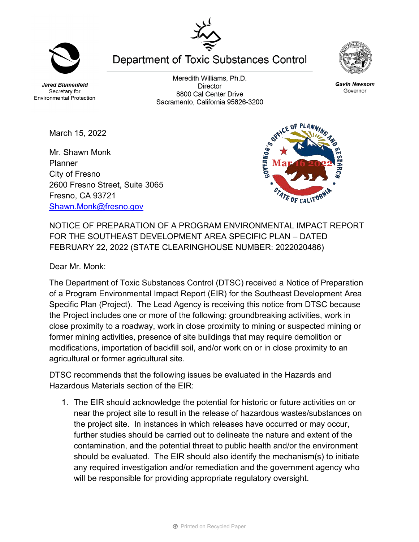**Jared Blumenfeld** Secretary for **Environmental Protection** 

March 15, 2022

Fresno, CA 93721

[Shawn.Monk@fresno.gov](mailto:Shawn.Monk@fresno.gov)

Meredith Williams, Ph.D. **Director** 8800 Cal Center Drive Sacramento, California 95826-3200

Mr. Shawn Monk Planner City of Fresno 2600 Fresno Street, Suite 3065

NOTICE OF PREPARATION OF A PROGRAM ENVIRONMENTAL IMPACT REPORT FOR THE SOUTHEAST DEVELOPMENT AREA SPECIFIC PLAN – DATED FEBRUARY 22, 2022 (STATE CLEARINGHOUSE NUMBER: 2022020486)

Dear Mr. Monk:

The Department of Toxic Substances Control (DTSC) received a Notice of Preparation of a Program Environmental Impact Report (EIR) for the Southeast Development Area Specific Plan (Project). The Lead Agency is receiving this notice from DTSC because the Project includes one or more of the following: groundbreaking activities, work in close proximity to a roadway, work in close proximity to mining or suspected mining or former mining activities, presence of site buildings that may require demolition or modifications, importation of backfill soil, and/or work on or in close proximity to an agricultural or former agricultural site.

DTSC recommends that the following issues be evaluated in the Hazards and Hazardous Materials section of the EIR:

1. The EIR should acknowledge the potential for historic or future activities on or near the project site to result in the release of hazardous wastes/substances on the project site. In instances in which releases have occurred or may occur, further studies should be carried out to delineate the nature and extent of the contamination, and the potential threat to public health and/or the environment should be evaluated. The EIR should also identify the mechanism(s) to initiate any required investigation and/or remediation and the government agency who will be responsible for providing appropriate regulatory oversight.





**Gavin Newsom** Governor



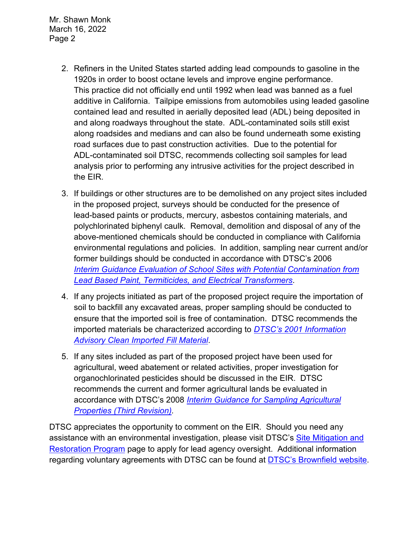Mr. Shawn Monk March 16, 2022 Page 2

- 2. Refiners in the United States started adding lead compounds to gasoline in the 1920s in order to boost octane levels and improve engine performance. This practice did not officially end until 1992 when lead was banned as a fuel additive in California. Tailpipe emissions from automobiles using leaded gasoline contained lead and resulted in aerially deposited lead (ADL) being deposited in and along roadways throughout the state. ADL-contaminated soils still exist along roadsides and medians and can also be found underneath some existing road surfaces due to past construction activities. Due to the potential for ADL-contaminated soil DTSC, recommends collecting soil samples for lead analysis prior to performing any intrusive activities for the project described in the EIR.
- 3. If buildings or other structures are to be demolished on any project sites included in the proposed project, surveys should be conducted for the presence of lead-based paints or products, mercury, asbestos containing materials, and polychlorinated biphenyl caulk. Removal, demolition and disposal of any of the above-mentioned chemicals should be conducted in compliance with California environmental regulations and policies. In addition, sampling near current and/or former buildings should be conducted in accordance with DTSC's 2006 *Interim [Guidance Evaluation of School Sites with Potential Contamination from](https://dtsc.ca.gov/2020/04/17/document-request/?wpf337186_14=https://dtsc.ca.gov/wpcontent/uploads/sites/31/2018/09/Guidance_Lead_%20%20Contamination_050118.pdf)  [Lead Based Paint, Termiticides, and Electrical Transformers](https://dtsc.ca.gov/2020/04/17/document-request/?wpf337186_14=https://dtsc.ca.gov/wpcontent/uploads/sites/31/2018/09/Guidance_Lead_%20%20Contamination_050118.pdf)*.
- 4. If any projects initiated as part of the proposed project require the importation of soil to backfill any excavated areas, proper sampling should be conducted to ensure that the imported soil is free of contamination. DTSC recommends the imported materials be characterized according to *[DTSC's 2001 Information](https://dtsc.ca.gov/wp-content/uploads/sites/31/2018/09/SMP_FS_Cleanfill-Schools.pdf)  [Advisory Clean Imported Fill Material](https://dtsc.ca.gov/wp-content/uploads/sites/31/2018/09/SMP_FS_Cleanfill-Schools.pdf)*.
- 5. If any sites included as part of the proposed project have been used for agricultural, weed abatement or related activities, proper investigation for organochlorinated pesticides should be discussed in the EIR. DTSC recommends the current and former agricultural lands be evaluated in accordance with DTSC's 2008 *[Interim Guidance for Sampling Agricultural](https://dtsc.ca.gov/wp-content/uploads/sites/31/2018/09/Ag-Guidance-Rev-3-August-7-2008-2.pdf)  [Properties \(Third Revision\).](https://dtsc.ca.gov/wp-content/uploads/sites/31/2018/09/Ag-Guidance-Rev-3-August-7-2008-2.pdf)*

DTSC appreciates the opportunity to comment on the EIR. Should you need any assistance with an environmental investigation, please visit DTSC's [Site Mitigation and](https://dtsc.ca.gov/brownfields/voluntary-agreements-quick-reference-guide/)  [Restoration Program](https://dtsc.ca.gov/brownfields/voluntary-agreements-quick-reference-guide/) page to apply for lead agency oversight. Additional information regarding voluntary agreements with DTSC can be found at [DTSC's Brownfield website.](https://dtsc.ca.gov/brownfields/)